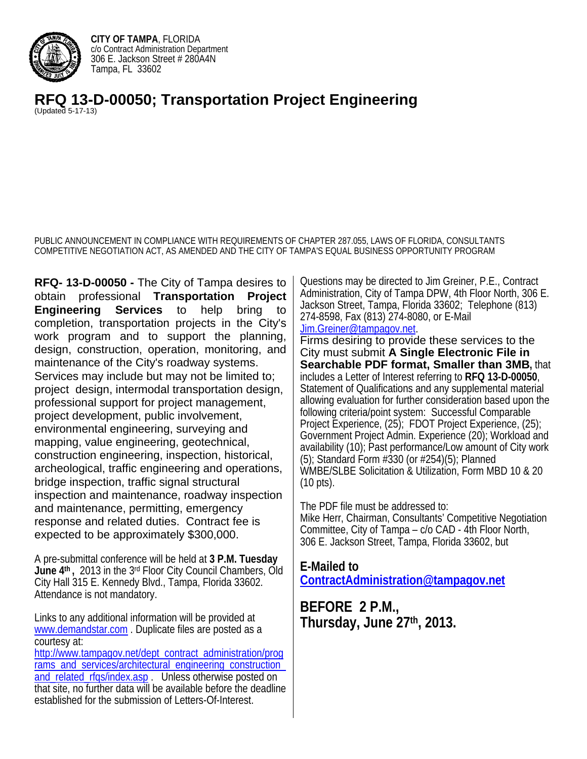

**CITY OF TAMPA**, FLORIDA c/o Contract Administration Department 306 E. Jackson Street # 280A4N Tampa, FL 33602

**RFQ 13-D-00050; Transportation Project Engineering** (Updated 5-17-13)

PUBLIC ANNOUNCEMENT IN COMPLIANCE WITH REQUIREMENTS OF CHAPTER 287.055, LAWS OF FLORIDA, CONSULTANTS COMPETITIVE NEGOTIATION ACT, AS AMENDED AND THE CITY OF TAMPA'S EQUAL BUSINESS OPPORTUNITY PROGRAM

**RFQ- 13-D-00050 -** The City of Tampa desires to obtain professional **Transportation Project Engineering Services** to help bring to completion, transportation projects in the City's work program and to support the planning, design, construction, operation, monitoring, and maintenance of the City's roadway systems. Services may include but may not be limited to; project design, intermodal transportation design, professional support for project management, project development, public involvement, environmental engineering, surveying and mapping, value engineering, geotechnical, construction engineering, inspection, historical, archeological, traffic engineering and operations, bridge inspection, traffic signal structural inspection and maintenance, roadway inspection and maintenance, permitting, emergency response and related duties. Contract fee is expected to be approximately \$300,000.

A pre-submittal conference will be held at **3 P.M. Tuesday June 4th ,** 2013 in the 3rd Floor City Council Chambers, Old City Hall 315 E. Kennedy Blvd., Tampa, Florida 33602. Attendance is not mandatory.

Links to any additional information will be provided at www.demandstar.com . Duplicate files are posted as a courtesy at:

http://www.tampagov.net/dept\_contract\_administration/prog rams\_and\_services/architectural\_engineering\_construction\_ and related rfgs/index.asp . Unless otherwise posted on that site, no further data will be available before the deadline established for the submission of Letters-Of-Interest.

Questions may be directed to Jim Greiner, P.E., Contract Administration, City of Tampa DPW, 4th Floor North, 306 E. Jackson Street, Tampa, Florida 33602; Telephone (813) 274-8598, Fax (813) 274-8080, or E-Mail Jim.Greiner@tampagov.net.

Firms desiring to provide these services to the City must submit **A Single Electronic File in Searchable PDF format, Smaller than 3MB,** that includes a Letter of Interest referring to **RFQ 13-D-00050**, Statement of Qualifications and any supplemental material allowing evaluation for further consideration based upon the following criteria/point system: Successful Comparable Project Experience, (25); FDOT Project Experience, (25); Government Project Admin. Experience (20); Workload and availability (10); Past performance/Low amount of City work (5); Standard Form #330 (or #254)(5); Planned WMBE/SLBE Solicitation & Utilization, Form MBD 10 & 20 (10 pts).

The PDF file must be addressed to: Mike Herr, Chairman, Consultants' Competitive Negotiation Committee, City of Tampa – c/o CAD - 4th Floor North, 306 E. Jackson Street, Tampa, Florida 33602, but

 **ContractAdministration@tampagov.net BEFORE 2 P.M., E-Mailed to** 

**Thursday, June 27th, 2013.**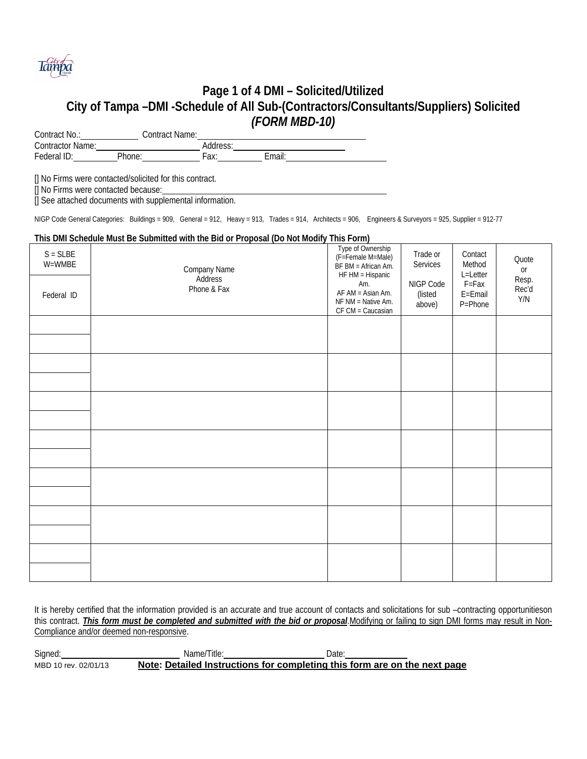

## **Page 1 of 4 DMI – Solicited/Utilized City of Tampa –DMI -Schedule of All Sub-(Contractors/Consultants/Suppliers) Solicited**  *(FORM MBD-10)*

Contract No.: Contract Name: Contractor Name: <u>Contractor Name:</u> Address: Federal ID: Phone: Fax: Email: Fax: Fax: Email:

[] No Firms were contacted/solicited for this contract.

[] No Firms were contacted because:

[] See attached documents with supplemental information.

NIGP Code General Categories: Buildings = 909, General = 912, Heavy = 913, Trades = 914, Architects = 906, Engineers & Surveyors = 925, Supplier = 912-77

#### **This DMI Schedule Must Be Submitted with the Bid or Proposal (Do Not Modify This Form)**

l

| $S = SLBE$<br>W=WMBE<br>Federal ID | Company Name<br>Address<br>Phone & Fax | Type of Ownership<br>(F=Female M=Male)<br>BF BM = African Am.<br>HF HM = Hispanic<br>Am.<br>AF AM = Asian Am.<br>NF NM = Native Am.<br>CF CM = Caucasian | Trade or<br>Services<br>NIGP Code<br>(listed<br>above) | Contact<br>Method<br>L=Letter<br>F=Fax<br>E=Email<br>P=Phone | Quote<br>or<br>Resp.<br>Rec'd<br>Y/N |
|------------------------------------|----------------------------------------|----------------------------------------------------------------------------------------------------------------------------------------------------------|--------------------------------------------------------|--------------------------------------------------------------|--------------------------------------|
|                                    |                                        |                                                                                                                                                          |                                                        |                                                              |                                      |
|                                    |                                        |                                                                                                                                                          |                                                        |                                                              |                                      |
|                                    |                                        |                                                                                                                                                          |                                                        |                                                              |                                      |
|                                    |                                        |                                                                                                                                                          |                                                        |                                                              |                                      |
|                                    |                                        |                                                                                                                                                          |                                                        |                                                              |                                      |
|                                    |                                        |                                                                                                                                                          |                                                        |                                                              |                                      |
|                                    |                                        |                                                                                                                                                          |                                                        |                                                              |                                      |

It is hereby certified that the information provided is an accurate and true account of contacts and solicitations for sub –contracting opportunitieson this contract. *This form must be completed and submitted with the bid or proposal*.Modifying or failing to sign DMI forms may result in Non-Compliance and/or deemed non-responsive.

Signed: MBD 10 rev. 02/01/13 Name/Title: Name/Title: Date: Date: Note: Detailed Instructions for completing this form are on the next page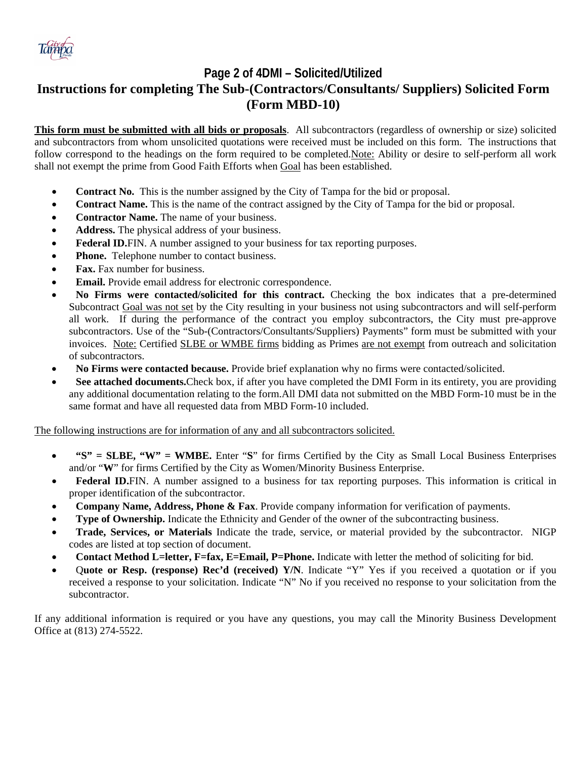

# **Page 2 of 4DMI – Solicited/Utilized**

# **Instructions for completing The Sub-(Contractors/Consultants/ Suppliers) Solicited Form (Form MBD-10)**

follow correspond to the headings on the form required to be completed.Note: Ability or desire to self-perform all work **This form must be submitted with all bids or proposals**. All subcontractors (regardless of ownership or size) solicited and subcontractors from whom unsolicited quotations were received must be included on this form. The instructions that shall not exempt the prime from Good Faith Efforts when Goal has been established.

- **Contract No.** This is the number assigned by the City of Tampa for the bid or proposal.
- **Contract Name.** This is the name of the contract assigned by the City of Tampa for the bid or proposal.
- **Contractor Name.** The name of your business.
- **Address.** The physical address of your business.
- **Federal ID.**FIN. A number assigned to your business for tax reporting purposes.
- **Phone.** Telephone number to contact business.
- **Fax.** Fax number for business.
- **Email.** Provide email address for electronic correspondence.
- **No Firms were contacted/solicited for this contract.** Checking the box indicates that a pre-determined Subcontract Goal was not set by the City resulting in your business not using subcontractors and will self-perform all work. If during the performance of the contract you employ subcontractors, the City must pre-approve subcontractors. Use of the "Sub-(Contractors/Consultants/Suppliers) Payments" form must be submitted with your invoices. Note: Certified SLBE or WMBE firms bidding as Primes are not exempt from outreach and solicitation of subcontractors.
- **No Firms were contacted because.** Provide brief explanation why no firms were contacted/solicited.
- **See attached documents.**Check box, if after you have completed the DMI Form in its entirety, you are providing any additional documentation relating to the form.All DMI data not submitted on the MBD Form-10 must be in the same format and have all requested data from MBD Form-10 included.

The following instructions are for information of any and all subcontractors solicited.

- **"S" = SLBE, "W" = WMBE.** Enter "**S**" for firms Certified by the City as Small Local Business Enterprises and/or "**W**" for firms Certified by the City as Women/Minority Business Enterprise.
- **Federal ID.**FIN. A number assigned to a business for tax reporting purposes. This information is critical in proper identification of the subcontractor.
- **Company Name, Address, Phone & Fax**. Provide company information for verification of payments.
- **Type of Ownership.** Indicate the Ethnicity and Gender of the owner of the subcontracting business.
- **Trade, Services, or Materials** Indicate the trade, service, or material provided by the subcontractor. NIGP codes are listed at top section of document.
- **Contact Method L=letter, F=fax, E=Email, P=Phone.** Indicate with letter the method of soliciting for bid.
- Q**uote or Resp. (response) Rec'd (received) Y/N**. Indicate "Y" Yes if you received a quotation or if you received a response to your solicitation. Indicate "N" No if you received no response to your solicitation from the subcontractor.

If any additional information is required or you have any questions, you may call the Minority Business Development Office at (813) 274-5522.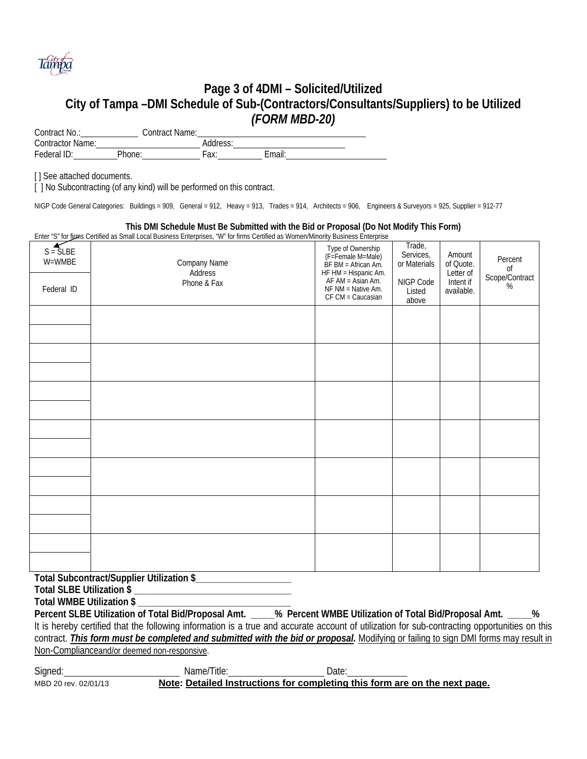

## **Page 3 of 4DMI – Solicited/Utilized City of Tampa –DMI Schedule of Sub-(Contractors/Consultants/Suppliers) to be Utilized**  *(FORM MBD-20)*

Contract No.: Contract Name: Contractor Name: Address: Address: Federal ID: Phone: Fax: Email:

[] See attached documents.

[ ] No Subcontracting (of any kind) will be performed on this contract.

NIGP Code General Categories: Buildings = 909, General = 912, Heavy = 913, Trades = 914, Architects = 906, Engineers & Surveyors = 925, Supplier = 912-77

#### **This DMI Schedule Must Be Submitted with the Bid or Proposal (Do Not Modify This Form)**

Enter "S" for firms Certified as Small Local Business Enterprises, "W" for firms Certified as Women/Minority Business Enterprise

| Company Name<br>Address<br>Phone & Fax | Type of Ownership<br>(F=Female M=Male)<br>$\overrightarrow{BF}$ BM = African Am.<br>HF $HM = Hispanic Am$ .<br>AF $AM = Asian Am$ .<br>NF NM = Native Am.<br>CF CM = Caucasian | Trade,<br>Services,<br>or Materials<br>NIGP Code<br>Listed<br>above | Amount<br>of Quote.<br>Letter of<br>Intent if<br>available. | Percent<br>$\sigma$<br>Scope/Contract<br>% |
|----------------------------------------|--------------------------------------------------------------------------------------------------------------------------------------------------------------------------------|---------------------------------------------------------------------|-------------------------------------------------------------|--------------------------------------------|
|                                        |                                                                                                                                                                                |                                                                     |                                                             |                                            |
|                                        |                                                                                                                                                                                |                                                                     |                                                             |                                            |
|                                        |                                                                                                                                                                                |                                                                     |                                                             |                                            |
|                                        |                                                                                                                                                                                |                                                                     |                                                             |                                            |
|                                        |                                                                                                                                                                                |                                                                     |                                                             |                                            |
|                                        |                                                                                                                                                                                |                                                                     |                                                             |                                            |
|                                        |                                                                                                                                                                                |                                                                     |                                                             |                                            |
|                                        |                                                                                                                                                                                |                                                                     |                                                             |                                            |
|                                        |                                                                                                                                                                                |                                                                     |                                                             |                                            |

**Total Subcontract/Supplier Utilization \$\_\_\_\_\_\_\_\_\_\_\_\_\_\_\_\_\_\_\_\_** 

**Total SLBE Utilization \$ \_\_\_\_\_\_\_\_\_\_\_\_\_\_\_\_\_\_\_\_\_\_\_\_\_\_\_\_\_\_\_\_\_** 

**Total WMBE Utilization \$ \_\_\_\_\_\_\_\_\_\_\_\_\_\_\_\_\_\_\_\_\_\_\_\_\_\_\_\_\_\_\_\_** 

**Percent SLBE Utilization of Total Bid/Proposal Amt. \_\_\_\_\_% Percent WMBE Utilization of Total Bid/Proposal Amt. \_\_\_\_\_%**  It is hereby certified that the following information is a true and accurate account of utilization for sub-contracting opportunities on this contract. *This form must be completed and submitted with the bid or proposal.* Modifying or failing to sign DMI forms may result in Non-Complianceand/or deemed non-responsive.

l MBD 20 rev. 02/01/13 Signed: Name/Title: Name/Title: Date: Note: Detailed Instructions for completing this form are on the next page.